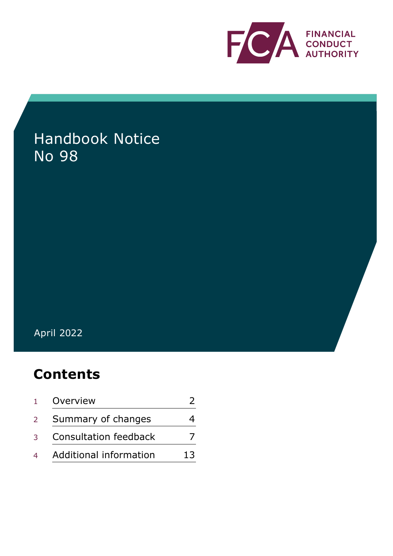

# Handbook Notice No 98

# April 2022

# **Contents**

| $\mathbf{1}$     | Overview                     |    |
|------------------|------------------------------|----|
| $2 \overline{ }$ | Summary of changes           |    |
| $\mathcal{R}$    | <b>Consultation feedback</b> |    |
|                  | Additional information       | 13 |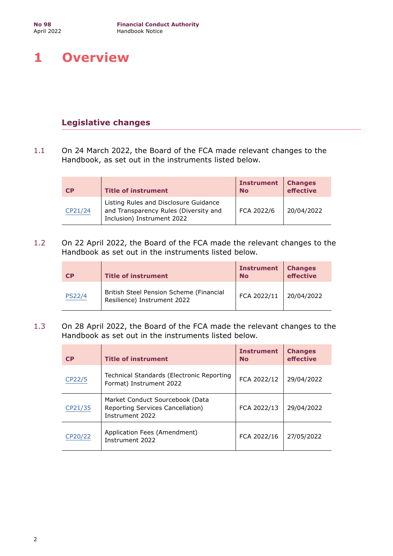# <span id="page-1-0"></span>**1 Overview**

# **Legislative changes**

1.1 On 24 March 2022, the Board of the FCA made relevant changes to the Handbook, as set out in the instruments listed below.

| CP      | <b>Title of instrument</b>                                                                                   | <b>Instrument</b><br><b>No</b> | <b>Changes</b><br>effective |
|---------|--------------------------------------------------------------------------------------------------------------|--------------------------------|-----------------------------|
| CP21/24 | Listing Rules and Disclosure Guidance<br>and Transparency Rules (Diversity and<br>Inclusion) Instrument 2022 | FCA 2022/6                     | 20/04/2022                  |

1.2 On 22 April 2022, the Board of the FCA made the relevant changes to the Handbook as set out in the instruments listed below.

| <b>CP</b>     | <b>Title of instrument</b>                                             | <b>Instrument</b><br><b>No</b> | <b>Changes</b><br>effective |
|---------------|------------------------------------------------------------------------|--------------------------------|-----------------------------|
| <b>PS22/4</b> | British Steel Pension Scheme (Financial<br>Resilience) Instrument 2022 | FCA 2022/11                    | 20/04/2022                  |

1.3 On 28 April 2022, the Board of the FCA made the relevant changes to the Handbook as set out in the instruments listed below.

| <b>CP</b> | <b>Title of instrument</b>                                                             | <b>Instrument</b><br><b>No</b> | <b>Changes</b><br>effective |
|-----------|----------------------------------------------------------------------------------------|--------------------------------|-----------------------------|
| CP22/5    | Technical Standards (Electronic Reporting<br>Format) Instrument 2022                   | FCA 2022/12                    | 29/04/2022                  |
| CP21/35   | Market Conduct Sourcebook (Data<br>Reporting Services Cancellation)<br>Instrument 2022 | FCA 2022/13                    | 29/04/2022                  |
| CP20/22   | Application Fees (Amendment)<br>Instrument 2022                                        | FCA 2022/16                    | 27/05/2022                  |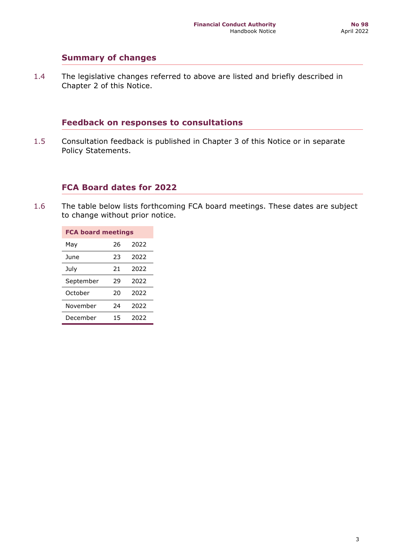### **Summary of changes**

1.4 The legislative changes referred to above are listed and briefly described in Chapter 2 of this Notice.

# **Feedback on responses to consultations**

1.5 Consultation feedback is published in Chapter 3 of this Notice or in separate Policy Statements.

### **FCA Board dates for 2022**

1.6 The table below lists forthcoming FCA board meetings. These dates are subject to change without prior notice.

| <b>FCA board meetings</b> |    |      |  |
|---------------------------|----|------|--|
| May                       | 26 | 2022 |  |
| <b>June</b>               | 23 | 2022 |  |
| July                      | 21 | 2022 |  |
| September                 | 29 | 2022 |  |
| October                   | 20 | 2022 |  |
| November                  | 24 | 2022 |  |
| December                  | 15 | 2022 |  |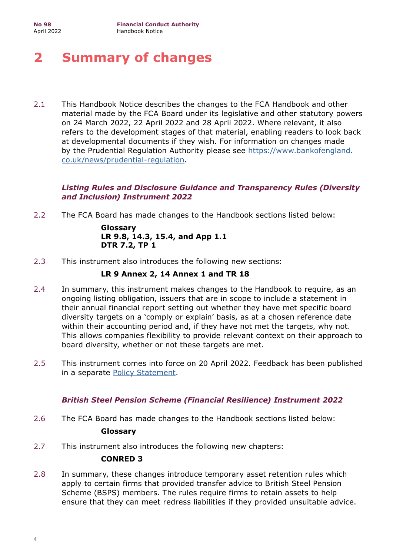# <span id="page-3-0"></span>**2 Summary of changes**

2.1 This Handbook Notice describes the changes to the FCA Handbook and other material made by the FCA Board under its legislative and other statutory powers on 24 March 2022, 22 April 2022 and 28 April 2022. Where relevant, it also refers to the development stages of that material, enabling readers to look back at developmental documents if they wish. For information on changes made by the Prudential Regulation Authority please see https://www.bankofengland. [co.uk/news/prudential-regulation](https://www.bankofengland.co.uk/news/prudential-regulation).

### *Listing Rules and Disclosure Guidance and Transparency Rules (Diversity and Inclusion) Instrument 2022*

2.2 The FCA Board has made changes to the Handbook sections listed below:

**Glossary LR 9.8, 14.3, 15.4, and App 1.1 DTR 7.2, TP 1** 

2.3 This instrument also introduces the following new sections:

#### **LR 9 Annex 2, 14 Annex 1 and TR 18**

- 2.4 In summary, this instrument makes changes to the Handbook to require, as an ongoing listing obligation, issuers that are in scope to include a statement in their annual financial report setting out whether they have met specific board diversity targets on a 'comply or explain' basis, as at a chosen reference date within their accounting period and, if they have not met the targets, why not. This allows companies flexibility to provide relevant context on their approach to board diversity, whether or not these targets are met.
- 2.5 This instrument comes into force on 20 April 2022. Feedback has been published in a separate [Policy Statement](https://www.fca.org.uk/publication/policy/ps22-3.pdf).

### *British Steel Pension Scheme (Financial Resilience) Instrument 2022*

- 2.6 The FCA Board has made changes to the Handbook sections listed below: **Glossary**
- 2.7 This instrument also introduces the following new chapters:

#### **CONRED 3**

 ensure that they can meet redress liabilities if they provided unsuitable advice. 2.8 In summary, these changes introduce temporary asset retention rules which apply to certain firms that provided transfer advice to British Steel Pension Scheme (BSPS) members. The rules require firms to retain assets to help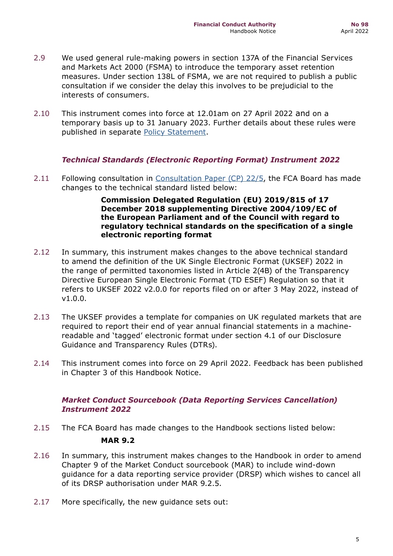- 2.9 We used general rule-making powers in section 137A of the Financial Services and Markets Act 2000 (FSMA) to introduce the temporary asset retention measures. Under section 138L of FSMA, we are not required to publish a public consultation if we consider the delay this involves to be prejudicial to the interests of consumers.
- 2.10 This instrument comes into force at 12.01am on 27 April 2022 and on a temporary basis up to 31 January 2023. Further details about these rules were published in separate [Policy Statement](https://www.fca.org.uk/publication/policy/ps22-4.pdf).

### *Technical Standards (Electronic Reporting Format) Instrument 2022*

2.11 Following consultation in [Consultation Paper \(CP\) 22/5,](https://www.fca.org.uk/publication/consultation/cp22-5.pdf) the FCA Board has made changes to the technical standard listed below:

> **Commission Delegated Regulation (EU) 2019/815 of 17 December 2018 supplementing Directive 2004/109/EC of the European Parliament and of the Council with regard to regulatory technical standards on the specification of a single electronic reporting format**

- 2.12 In summary, this instrument makes changes to the above technical standard to amend the definition of the UK Single Electronic Format (UKSEF) 2022 in the range of permitted taxonomies listed in Article 2(4B) of the Transparency Directive European Single Electronic Format (TD ESEF) Regulation so that it refers to UKSEF 2022 v2.0.0 for reports filed on or after 3 May 2022, instead of v1.0.0.
- 2.13 The UKSEF provides a template for companies on UK regulated markets that are required to report their end of year annual financial statements in a machinereadable and 'tagged' electronic format under section 4.1 of our Disclosure Guidance and Transparency Rules (DTRs).
- 2.14 This instrument comes into force on 29 April 2022. Feedback has been published in Chapter 3 of this Handbook Notice.

### *Market Conduct Sourcebook (Data Reporting Services Cancellation) Instrument 2022*

- 2.15 The FCA Board has made changes to the Handbook sections listed below: **MAR 9.2**
- 2.16 In summary, this instrument makes changes to the Handbook in order to amend Chapter 9 of the Market Conduct sourcebook (MAR) to include wind-down guidance for a data reporting service provider (DRSP) which wishes to cancel all of its DRSP authorisation under MAR 9.2.5.
- 2.17 More specifically, the new guidance sets out: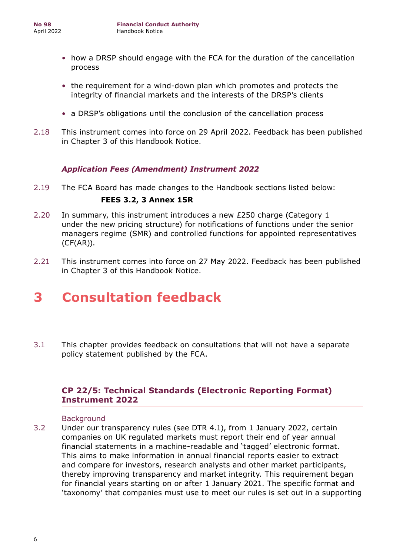- how a DRSP should engage with the FCA for the duration of the cancellation process
- the requirement for a wind-down plan which promotes and protects the integrity of financial markets and the interests of the DRSP's clients
- a DRSP's obligations until the conclusion of the cancellation process
- 2.18 This instrument comes into force on 29 April 2022. Feedback has been published in Chapter 3 of this Handbook Notice.

# *Application Fees (Amendment) Instrument 2022*

2.19 The FCA Board has made changes to the Handbook sections listed below:

### **FEES 3.2, 3 Annex 15R**

- 2.20 In summary, this instrument introduces a new £250 charge (Category 1 under the new pricing structure) for notifications of functions under the senior managers regime (SMR) and controlled functions for appointed representatives (CF(AR)).
- 2.21 This instrument comes into force on 27 May 2022. Feedback has been published in Chapter 3 of this Handbook Notice.

# **3 Consultation feedback**

3.1 This chapter provides feedback on consultations that will not have a separate policy statement published by the FCA.

# **CP 22/5: Technical Standards (Electronic Reporting Format) Instrument 2022**

#### Background

3.2 Under our transparency rules (see DTR 4.1), from 1 January 2022, certain companies on UK regulated markets must report their end of year annual financial statements in a machine-readable and 'tagged' electronic format. This aims to make information in annual financial reports easier to extract and compare for investors, research analysts and other market participants, thereby improving transparency and market integrity. This requirement began for financial years starting on or after 1 January 2021. The specific format and 'taxonomy' that companies must use to meet our rules is set out in a supporting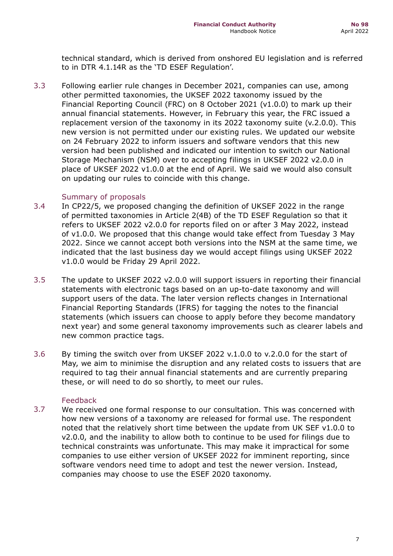<span id="page-6-0"></span>to in DTR 4.1.14R as the 'TD ESEF Regulation'. technical standard, which is derived from onshored EU legislation and is referred

on updating our rules to coincide with this change.<br>Summary of proposals 3.3 Following earlier rule changes in December 2021, companies can use, among other permitted taxonomies, the UKSEF 2022 taxonomy issued by the Financial Reporting Council (FRC) on 8 October 2021 (v1.0.0) to mark up their annual financial statements. However, in February this year, the FRC issued a replacement version of the taxonomy in its 2022 taxonomy suite (v.2.0.0). This new version is not permitted under our existing rules. We updated our website on 24 February 2022 to inform issuers and software vendors that this new version had been published and indicated our intention to switch our National Storage Mechanism (NSM) over to accepting filings in UKSEF 2022 v2.0.0 in place of UKSEF 2022 v1.0.0 at the end of April. We said we would also consult

- v1.0.0 would be Friday 29 April 2022. 3.4 In CP22/5, we proposed changing the definition of UKSEF 2022 in the range of permitted taxonomies in Article 2(4B) of the TD ESEF Regulation so that it refers to UKSEF 2022 v2.0.0 for reports filed on or after 3 May 2022, instead of v1.0.0. We proposed that this change would take effect from Tuesday 3 May 2022. Since we cannot accept both versions into the NSM at the same time, we indicated that the last business day we would accept filings using UKSEF 2022
- 3.5 The update to UKSEF 2022 v2.0.0 will support issuers in reporting their financial statements with electronic tags based on an up-to-date taxonomy and will support users of the data. The later version reflects changes in International Financial Reporting Standards (IFRS) for tagging the notes to the financial statements (which issuers can choose to apply before they become mandatory next year) and some general taxonomy improvements such as clearer labels and new common practice tags.
- 3.6 By timing the switch over from UKSEF 2022 v.1.0.0 to v.2.0.0 for the start of May, we aim to minimise the disruption and any related costs to issuers that are required to tag their annual financial statements and are currently preparing these, or will need to do so shortly, to meet our rules.

### Feedback

 companies may choose to use the ESEF 2020 taxonomy. 3.7 We received one formal response to our consultation. This was concerned with how new versions of a taxonomy are released for formal use. The respondent noted that the relatively short time between the update from UK SEF v1.0.0 to v2.0.0, and the inability to allow both to continue to be used for filings due to technical constraints was unfortunate. This may make it impractical for some companies to use either version of UKSEF 2022 for imminent reporting, since software vendors need time to adopt and test the newer version. Instead,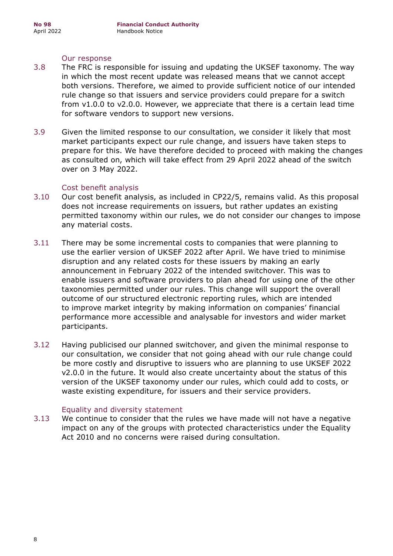#### Our response

- for software vendors to support new versions. 3.8 The FRC is responsible for issuing and updating the UKSEF taxonomy. The way in which the most recent update was released means that we cannot accept both versions. Therefore, we aimed to provide sufficient notice of our intended rule change so that issuers and service providers could prepare for a switch from v1.0.0 to v2.0.0. However, we appreciate that there is a certain lead time
- over on 3 May 2022. 3.9 Given the limited response to our consultation, we consider it likely that most market participants expect our rule change, and issuers have taken steps to prepare for this. We have therefore decided to proceed with making the changes as consulted on, which will take effect from 29 April 2022 ahead of the switch

#### Cost benefit analysis

- 3.10 Our cost benefit analysis, as included in CP22/5, remains valid. As this proposal does not increase requirements on issuers, but rather updates an existing permitted taxonomy within our rules, we do not consider our changes to impose any material costs.
- performance more accessible and analysable for investors and wider market 3.11 There may be some incremental costs to companies that were planning to use the earlier version of UKSEF 2022 after April. We have tried to minimise disruption and any related costs for these issuers by making an early announcement in February 2022 of the intended switchover. This was to enable issuers and software providers to plan ahead for using one of the other taxonomies permitted under our rules. This change will support the overall outcome of our structured electronic reporting rules, which are intended to improve market integrity by making information on companies' financial participants.
- waste existing expenditure, for issuers and their service providers.<br>Equality and diversity statement 3.12 Having publicised our planned switchover, and given the minimal response to our consultation, we consider that not going ahead with our rule change could be more costly and disruptive to issuers who are planning to use UKSEF 2022 v2.0.0 in the future. It would also create uncertainty about the status of this version of the UKSEF taxonomy under our rules, which could add to costs, or

#### Equality and diversity statement

3.13 We continue to consider that the rules we have made will not have a negative impact on any of the groups with protected characteristics under the Equality Act 2010 and no concerns were raised during consultation.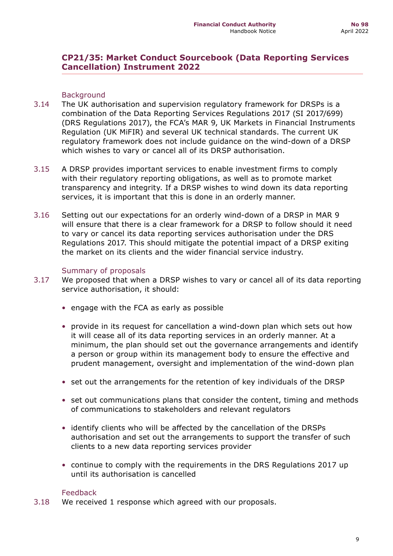### **CP21/35: Market Conduct Sourcebook (Data Reporting Services Cancellation) Instrument 2022**

#### **Background**

- 3.14 The UK authorisation and supervision regulatory framework for DRSPs is a combination of the Data Reporting Services Regulations 2017 (SI 2017/699) (DRS Regulations 2017), the FCA's MAR 9, UK Markets in Financial Instruments Regulation (UK MiFIR) and several UK technical standards. The current UK regulatory framework does not include guidance on the wind-down of a DRSP which wishes to vary or cancel all of its DRSP authorisation.
- 3.15 A DRSP provides important services to enable investment firms to comply with their regulatory reporting obligations, as well as to promote market transparency and integrity. If a DRSP wishes to wind down its data reporting services, it is important that this is done in an orderly manner.
- 3.16 Setting out our expectations for an orderly wind-down of a DRSP in MAR 9 will ensure that there is a clear framework for a DRSP to follow should it need to vary or cancel its data reporting services authorisation under the DRS Regulations 2017. This should mitigate the potential impact of a DRSP exiting the market on its clients and the wider financial service industry.

#### Summary of proposals

- 3.17 We proposed that when a DRSP wishes to vary or cancel all of its data reporting service authorisation, it should:
	- engage with the FCA as early as possible
	- provide in its request for cancellation a wind-down plan which sets out how it will cease all of its data reporting services in an orderly manner. At a minimum, the plan should set out the governance arrangements and identify a person or group within its management body to ensure the effective and prudent management, oversight and implementation of the wind-down plan
	- set out the arrangements for the retention of key individuals of the DRSP
	- set out communications plans that consider the content, timing and methods of communications to stakeholders and relevant regulators
	- identify clients who will be affected by the cancellation of the DRSPs authorisation and set out the arrangements to support the transfer of such clients to a new data reporting services provider
	- continue to comply with the requirements in the DRS Regulations 2017 up until its authorisation is cancelled

#### Feedback

3.18 We received 1 response which agreed with our proposals.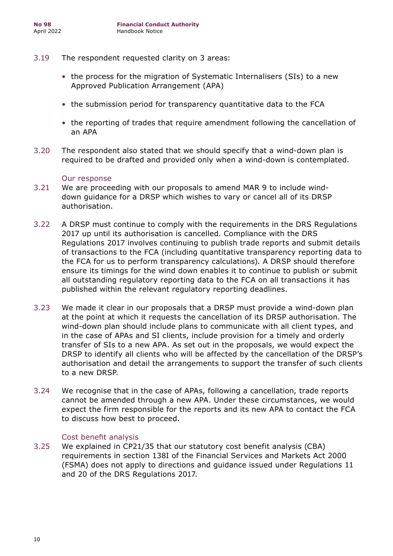- 3.19 The respondent requested clarity on 3 areas:
	- the process for the migration of Systematic Internalisers (SIs) to a new Approved Publication Arrangement (APA)
	- the submission period for transparency quantitative data to the FCA
	- the reporting of trades that require amendment following the cancellation of an APA
- 3.20 The respondent also stated that we should specify that a wind-down plan is required to be drafted and provided only when a wind-down is contemplated.

#### Our response

- 3.21 We are proceeding with our proposals to amend MAR 9 to include winddown guidance for a DRSP which wishes to vary or cancel all of its DRSP authorisation.
- 3.22 A DRSP must continue to comply with the requirements in the DRS Regulations 2017 up until its authorisation is cancelled. Compliance with the DRS Regulations 2017 involves continuing to publish trade reports and submit details of transactions to the FCA (including quantitative transparency reporting data to the FCA for us to perform transparency calculations). A DRSP should therefore ensure its timings for the wind down enables it to continue to publish or submit all outstanding regulatory reporting data to the FCA on all transactions it has published within the relevant regulatory reporting deadlines.
- to a new DRSP. 3.23 We made it clear in our proposals that a DRSP must provide a wind-down plan at the point at which it requests the cancellation of its DRSP authorisation. The wind-down plan should include plans to communicate with all client types, and in the case of APAs and SI clients, include provision for a timely and orderly transfer of SIs to a new APA. As set out in the proposals, we would expect the DRSP to identify all clients who will be affected by the cancellation of the DRSP's authorisation and detail the arrangements to support the transfer of such clients
- to discuss how best to proceed. 3.24 We recognise that in the case of APAs, following a cancellation, trade reports cannot be amended through a new APA. Under these circumstances, we would expect the firm responsible for the reports and its new APA to contact the FCA

#### Cost benefit analysis

3.25 We explained in CP21/35 that our statutory cost benefit analysis (CBA) requirements in section 138I of the Financial Services and Markets Act 2000 (FSMA) does not apply to directions and guidance issued under Regulations 11 and 20 of the DRS Regulations 2017.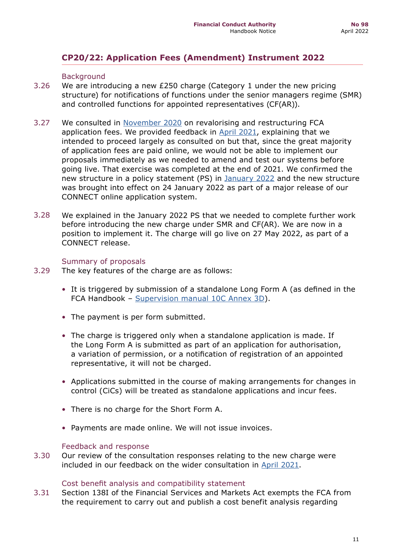# **CP20/22: Application Fees (Amendment) Instrument 2022**

#### **Background**

- 3.26 We are introducing a new £250 charge (Category 1 under the new pricing structure) for notifications of functions under the senior managers regime (SMR) and controlled functions for appointed representatives (CF(AR)).
- 3.27 We consulted in [November 2020](https://www.fca.org.uk/publication/consultation/cp20-22.pdf) on revalorising and restructuring FCA application fees. We provided feedback in [April 2021,](https://www.fca.org.uk/publication/consultation/cp21-8.pdf) explaining that we intended to proceed largely as consulted on but that, since the great majority of application fees are paid online, we would not be able to implement our proposals immediately as we needed to amend and test our systems before going live. That exercise was completed at the end of 2021. We confirmed the new structure in a policy statement (PS) in [January 2022](https://www.fca.org.uk/publications/policy-statements/ps22-1-fca-authorisation-application-fees-new-structure) and the new structure was brought into effect on 24 January 2022 as part of a major release of our CONNECT online application system.
- 3.28 We explained in the January 2022 PS that we needed to complete further work before introducing the new charge under SMR and CF(AR). We are now in a position to implement it. The charge will go live on 27 May 2022, as part of a CONNECT release.

#### Summary of proposals

- 3.29 The key features of the charge are as follows:
	- It is triggered by submission of a standalone Long Form A (as defined in the FCA Handbook – [Supervision manual 10C Annex 3D\)](https://www.handbook.fca.org.uk/handbook/SUP/10C/Annex3D.html#D696).
	- The payment is per form submitted.
	- The charge is triggered only when a standalone application is made. If the Long Form A is submitted as part of an application for authorisation, a variation of permission, or a notification of registration of an appointed representative, it will not be charged.
	- Applications submitted in the course of making arrangements for changes in control (CiCs) will be treated as standalone applications and incur fees.
	- There is no charge for the Short Form A.
	- Payments are made online. We will not issue invoices.

#### Feedback and response

3.30 Our review of the consultation responses relating to the new charge were included in our feedback on the wider consultation in [April 2021.](https://www.fca.org.uk/publication/consultation/cp21-8.pdf)

#### Cost benefit analysis and compatibility statement

3.31 Section 138I of the Financial Services and Markets Act exempts the FCA from the requirement to carry out and publish a cost benefit analysis regarding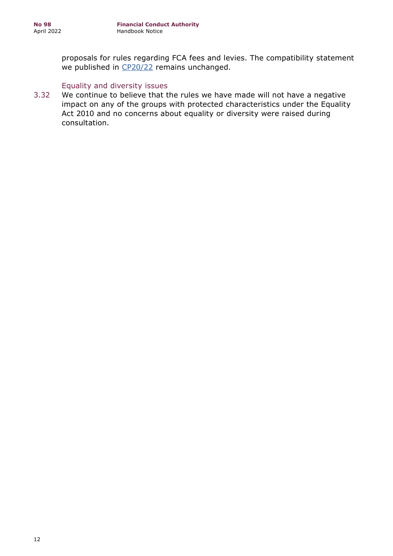proposals for rules regarding FCA fees and levies. The compatibility statement we published in [CP20/22](https://www.fca.org.uk/publication/consultation/cp20-22.pdf) remains unchanged.

#### Equality and diversity issues

3.32 We continue to believe that the rules we have made will not have a negative impact on any of the groups with protected characteristics under the Equality Act 2010 and no concerns about equality or diversity were raised during consultation.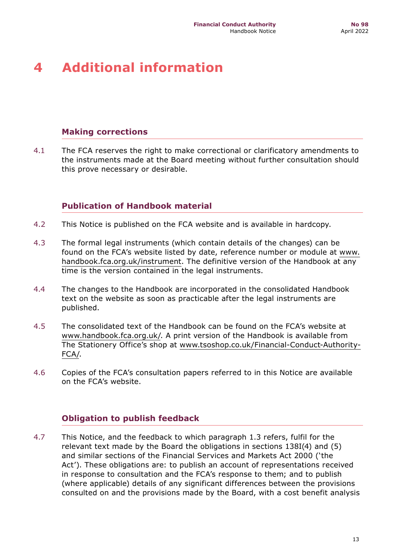# <span id="page-12-0"></span>**4 Additional information**

# **Making corrections**

4.1 The FCA reserves the right to make correctional or clarificatory amendments to the instruments made at the Board meeting without further consultation should this prove necessary or desirable.

# **Publication of Handbook material**

- 4.2 This Notice is published on the FCA website and is available in hardcopy.
- 4.3 The formal legal instruments (which contain details of the changes) can be found on the FCA's website listed by date, reference number or module at [www.](https://www.handbook.fca.org.uk/instrument) [handbook.fca.org.uk/instrument.](https://www.handbook.fca.org.uk/instrument) The definitive version of the Handbook at any time is the version contained in the legal instruments.
- 4.4 The changes to the Handbook are incorporated in the consolidated Handbook text on the website as soon as practicable after the legal instruments are published.
- 4.5 The consolidated text of the Handbook can be found on the FCA's website at <www.handbook.fca.org.uk>/. A print version of the Handbook is available from The Stationery Office's shop at [www.tsoshop.co.uk/Financial-Conduct-Authority-](https://www.tsoshop.co.uk/Financial-Conduct-Authority-FCA/)[FCA/.](https://www.tsoshop.co.uk/Financial-Conduct-Authority-FCA/)
- 4.6 Copies of the FCA's consultation papers referred to in this Notice are available on the FCA's website.

# **Obligation to publish feedback**

4.7 This Notice, and the feedback to which paragraph 1.3 refers, fulfil for the relevant text made by the Board the obligations in sections 138I(4) and (5) and similar sections of the Financial Services and Markets Act 2000 ('the Act'). These obligations are: to publish an account of representations received in response to consultation and the FCA's response to them; and to publish (where applicable) details of any significant differences between the provisions consulted on and the provisions made by the Board, with a cost benefit analysis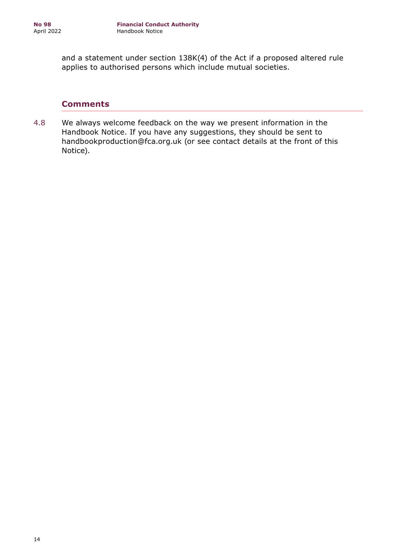and a statement under section 138K(4) of the Act if a proposed altered rule applies to authorised persons which include mutual societies.

### **Comments**

4.8 We always welcome feedback on the way we present information in the Handbook Notice. If you have any suggestions, they should be sent to handbookproduction@fca.org.uk (or see contact details at the front of this Notice).